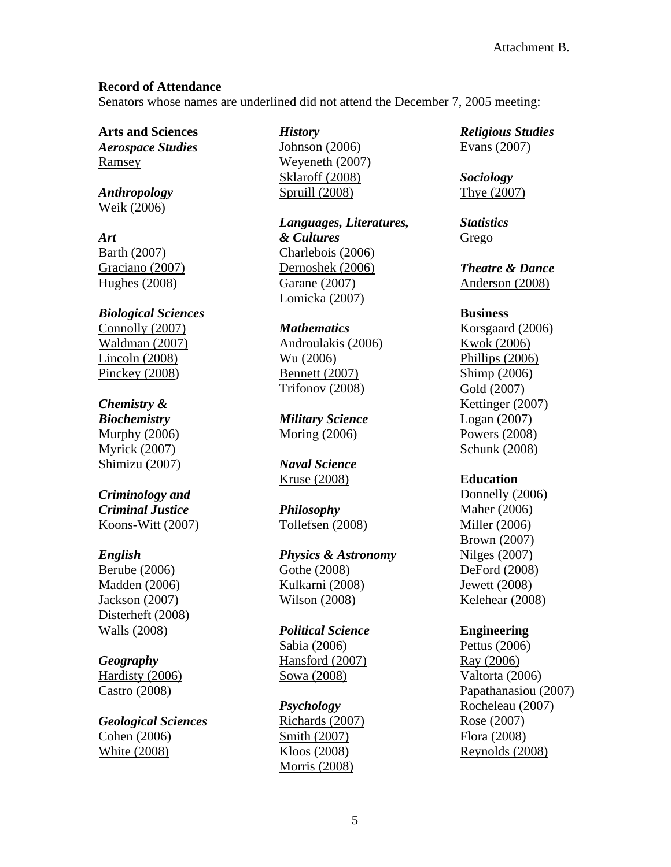## **Record of Attendance**

Senators whose names are underlined did not attend the December 7, 2005 meeting:

**Arts and Sciences**  *Aerospace Studies* Ramsey

*Anthropology* Weik (2006)

*Art*  Barth (2007) Graciano (2007) Hughes (2008)

*Biological Sciences* Connolly (2007) Waldman (2007) Lincoln (2008) Pinckey (2008)

## *Chemistry &*

*Biochemistry*  Murphy (2006) Myrick (2007) Shimizu (2007)

*Criminology and Criminal Justice*  Koons-Witt (2007)

## *English*

Berube (2006) Madden (2006) Jackson (2007) Disterheft (2008) Walls (2008)

## *Geography*

Hardisty (2006) Castro (2008)

*Geological Sciences*  Cohen (2006) White (2008)

*History* 

Johnson (2006) Weyeneth (2007) Sklaroff (2008) Spruill (2008)

*Languages, Literatures, & Cultures* Charlebois (2006) Dernoshek (2006) Garane (2007) Lomicka (2007)

### *Mathematics*

Androulakis (2006) Wu (2006) Bennett (2007) Trifonov (2008)

*Military Science*  Moring (2006)

*Naval Science*  Kruse (2008)

*Philosophy* Tollefsen (2008)

*Physics & Astronomy* Gothe (2008) Kulkarni (2008) Wilson (2008)

*Political Science*  Sabia (2006) Hansford (2007) Sowa (2008)

*Psychology* Richards (2007) Smith (2007) Kloos (2008) Morris (2008)

*Religious Studies*  Evans (2007)

*Sociology*  Thye (2007)

*Statistics* Grego

*Theatre & Dance*  Anderson (2008)

### **Business**

Korsgaard (2006) Kwok (2006) Phillips (2006) Shimp (2006) Gold (2007) Kettinger (2007) Logan (2007) Powers (2008) Schunk (2008)

## **Education**

Donnelly (2006) Maher (2006) Miller (2006) Brown (2007) Nilges (2007) DeFord (2008) Jewett (2008) Kelehear (2008)

## **Engineering**

Pettus (2006) Ray (2006) Valtorta (2006) Papathanasiou (2007) Rocheleau (2007) Rose (2007) Flora (2008) Reynolds (2008)